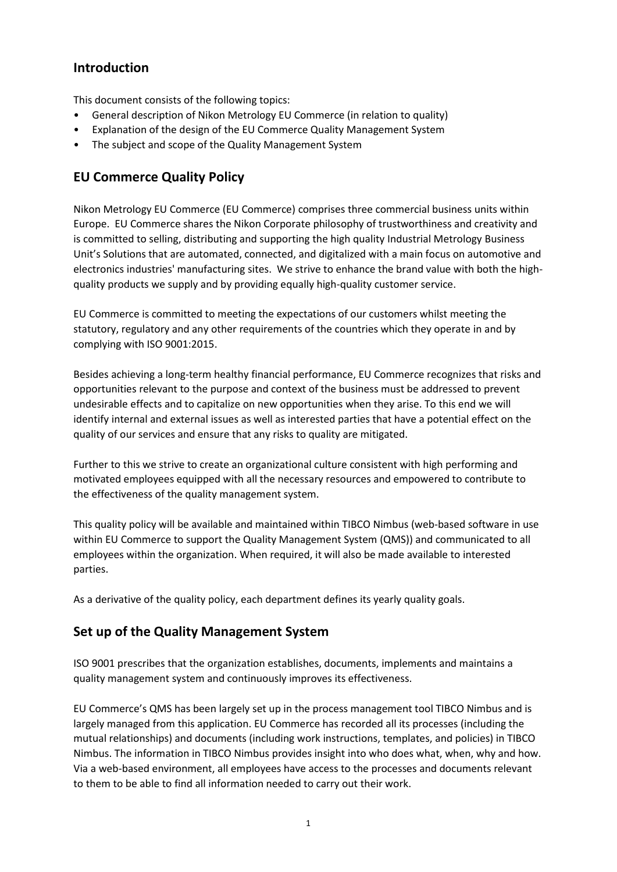# **Introduction**

This document consists of the following topics:

- General description of Nikon Metrology EU Commerce (in relation to quality)
- Explanation of the design of the EU Commerce Quality Management System
- The subject and scope of the Quality Management System

### **EU Commerce Quality Policy**

Nikon Metrology EU Commerce (EU Commerce) comprises three commercial business units within Europe. EU Commerce shares the Nikon Corporate philosophy of trustworthiness and creativity and is committed to selling, distributing and supporting the high quality Industrial Metrology Business Unit's Solutions that are automated, connected, and digitalized with a main focus on automotive and electronics industries' manufacturing sites. We strive to enhance the brand value with both the highquality products we supply and by providing equally high-quality customer service.

EU Commerce is committed to meeting the expectations of our customers whilst meeting the statutory, regulatory and any other requirements of the countries which they operate in and by complying with ISO 9001:2015.

Besides achieving a long-term healthy financial performance, EU Commerce recognizes that risks and opportunities relevant to the purpose and context of the business must be addressed to prevent undesirable effects and to capitalize on new opportunities when they arise. To this end we will identify internal and external issues as well as interested parties that have a potential effect on the quality of our services and ensure that any risks to quality are mitigated.

Further to this we strive to create an organizational culture consistent with high performing and motivated employees equipped with all the necessary resources and empowered to contribute to the effectiveness of the quality management system.

This quality policy will be available and maintained within TIBCO Nimbus (web-based software in use within EU Commerce to support the Quality Management System (QMS)) and communicated to all employees within the organization. When required, it will also be made available to interested parties.

As a derivative of the quality policy, each department defines its yearly quality goals.

# **Set up of the Quality Management System**

ISO 9001 prescribes that the organization establishes, documents, implements and maintains a quality management system and continuously improves its effectiveness.

EU Commerce's QMS has been largely set up in the process management tool TIBCO Nimbus and is largely managed from this application. EU Commerce has recorded all its processes (including the mutual relationships) and documents (including work instructions, templates, and policies) in TIBCO Nimbus. The information in TIBCO Nimbus provides insight into who does what, when, why and how. Via a web-based environment, all employees have access to the processes and documents relevant to them to be able to find all information needed to carry out their work.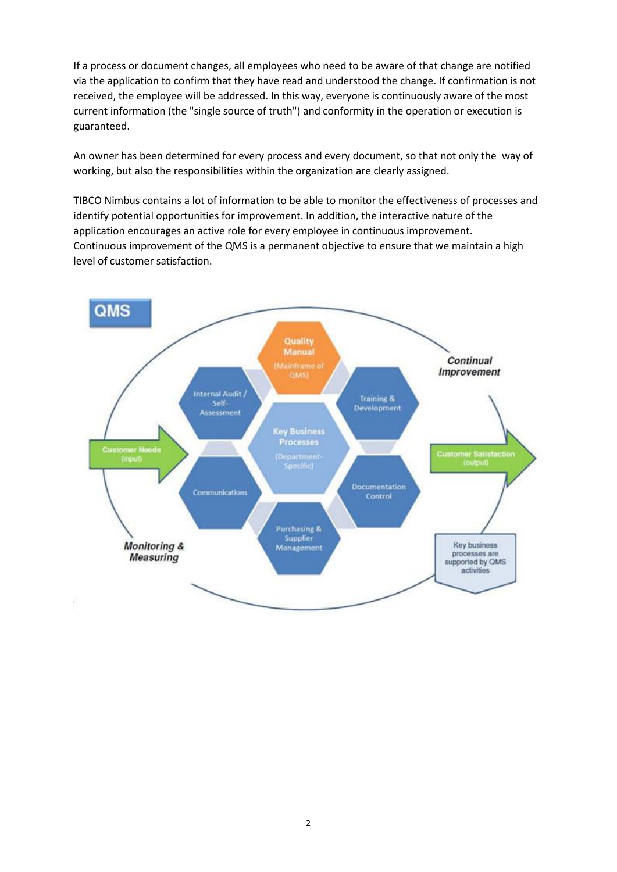If a process or document changes, all employees who need to be aware of that change are notified via the application to confirm that they have read and understood the change. If confirmation is not received, the employee will be addressed. In this way, everyone is continuously aware of the most current information (the "single source of truth") and conformity in the operation or execution is guaranteed.

An owner has been determined for every process and every document, so that not only the way of working, but also the responsibilities within the organization are clearly assigned.

TIBCO Nimbus contains a lot of information to be able to monitor the effectiveness of processes and identify potential opportunities for improvement. In addition, the interactive nature of the application encourages an active role for every employee in continuous improvement. Continuous improvement of the QMS is a permanent objective to ensure that we maintain a high level of customer satisfaction.